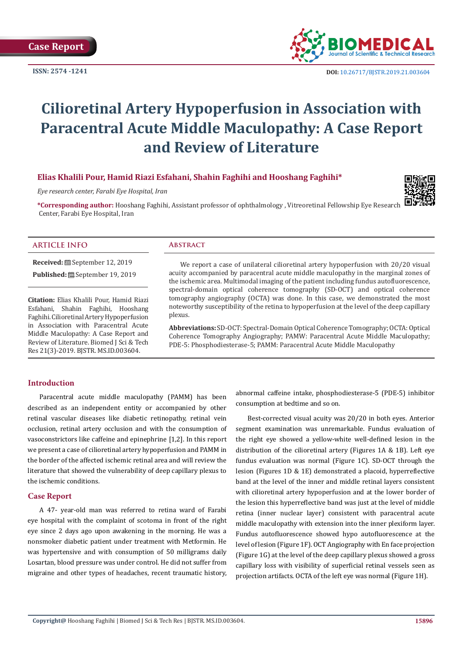**ISSN: 2574 -1241**



 **DOI:** [10.26717/BJSTR.2019.21.003604](http://dx.doi.org/10.26717/BJSTR.2019.21.003604)

# **Cilioretinal Artery Hypoperfusion in Association with Paracentral Acute Middle Maculopathy: A Case Report and Review of Literature**

# **Elias Khalili Pour, Hamid Riazi Esfahani, Shahin Faghihi and Hooshang Faghihi\***

*Eye research center, Farabi Eye Hospital, Iran*



**\*Corresponding author:** Hooshang Faghihi, Assistant professor of ophthalmology , Vitreoretinal Fellowship Eye Research Center, Farabi Eye Hospital, Iran

# **ARTICLE INFO Abstract**

**Received:** September 12, 2019

**Published:** September 19, 2019

**Citation:** Elias Khalili Pour, Hamid Riazi Esfahani, Shahin Faghihi, Hooshang Faghihi. Cilioretinal Artery Hypoperfusion in Association with Paracentral Acute Middle Maculopathy: A Case Report and Review of Literature. Biomed J Sci & Tech Res 21(3)-2019. BJSTR. MS.ID.003604.

We report a case of unilateral cilioretinal artery hypoperfusion with 20/20 visual acuity accompanied by paracentral acute middle maculopathy in the marginal zones of the ischemic area. Multimodal imaging of the patient including fundus autofluorescence, spectral-domain optical coherence tomography (SD-OCT) and optical coherence tomography angiography (OCTA) was done. In this case, we demonstrated the most noteworthy susceptibility of the retina to hypoperfusion at the level of the deep capillary plexus.

**Abbreviations:** SD-OCT: Spectral-Domain Optical Coherence Tomography; OCTA: Optical Coherence Tomography Angiography; PAMW: Paracentral Acute Middle Maculopathy; PDE-5: Phosphodiesterase-5; PAMM: Paracentral Acute Middle Maculopathy

### **Introduction**

Paracentral acute middle maculopathy (PAMM) has been described as an independent entity or accompanied by other retinal vascular diseases like diabetic retinopathy, retinal vein occlusion, retinal artery occlusion and with the consumption of vasoconstrictors like caffeine and epinephrine [1,2]. In this report we present a case of cilioretinal artery hypoperfusion and PAMM in the border of the affected ischemic retinal area and will review the literature that showed the vulnerability of deep capillary plexus to the ischemic conditions.

# **Case Report**

A 47- year-old man was referred to retina ward of Farabi eye hospital with the complaint of scotoma in front of the right eye since 2 days ago upon awakening in the morning. He was a nonsmoker diabetic patient under treatment with Metformin. He was hypertensive and with consumption of 50 milligrams daily Losartan, blood pressure was under control. He did not suffer from migraine and other types of headaches, recent traumatic history,

abnormal caffeine intake, phosphodiesterase-5 (PDE-5) inhibitor consumption at bedtime and so on.

Best-corrected visual acuity was 20/20 in both eyes. Anterior segment examination was unremarkable. Fundus evaluation of the right eye showed a yellow-white well-defined lesion in the distribution of the cilioretinal artery (Figures 1A & 1B). Left eye fundus evaluation was normal (Figure 1C). SD-OCT through the lesion (Figures 1D & 1E) demonstrated a placoid, hyperreflective band at the level of the inner and middle retinal layers consistent with cilioretinal artery hypoperfusion and at the lower border of the lesion this hyperreflective band was just at the level of middle retina (inner nuclear layer) consistent with paracentral acute middle maculopathy with extension into the inner plexiform layer. Fundus autofluorescence showed hypo autofluorescence at the level of lesion (Figure 1F). OCT Angiography with En face projection (Figure 1G) at the level of the deep capillary plexus showed a gross capillary loss with visibility of superficial retinal vessels seen as projection artifacts. OCTA of the left eye was normal (Figure 1H).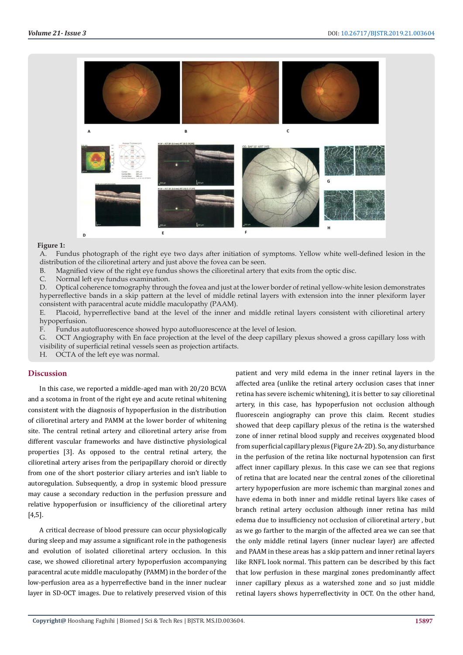

#### **Figure 1:**

A. Fundus photograph of the right eye two days after initiation of symptoms. Yellow white well-defined lesion in the distribution of the cilioretinal artery and just above the fovea can be seen.

B. Magnified view of the right eye fundus shows the cilioretinal artery that exits from the optic disc.

C. Normal left eye fundus examination.

D. Optical coherence tomography through the fovea and just at the lower border of retinal yellow-white lesion demonstrates hyperreflective bands in a skip pattern at the level of middle retinal layers with extension into the inner plexiform layer consistent with paracentral acute middle maculopathy (PAAM).

E. Placoid, hyperreflective band at the level of the inner and middle retinal layers consistent with cilioretinal artery hypoperfusion.

F. Fundus autofluorescence showed hypo autofluorescence at the level of lesion.

G. OCT Angiography with En face projection at the level of the deep capillary plexus showed a gross capillary loss with visibility of superficial retinal vessels seen as projection artifacts.

H. OCTA of the left eye was normal.

# **Discussion**

In this case, we reported a middle-aged man with 20/20 BCVA and a scotoma in front of the right eye and acute retinal whitening consistent with the diagnosis of hypoperfusion in the distribution of cilioretinal artery and PAMM at the lower border of whitening site. The central retinal artery and cilioretinal artery arise from different vascular frameworks and have distinctive physiological properties [3]. As opposed to the central retinal artery, the cilioretinal artery arises from the peripapillary choroid or directly from one of the short posterior ciliary arteries and isn't liable to autoregulation. Subsequently, a drop in systemic blood pressure may cause a secondary reduction in the perfusion pressure and relative hypoperfusion or insufficiency of the cilioretinal artery [4,5].

A critical decrease of blood pressure can occur physiologically during sleep and may assume a significant role in the pathogenesis and evolution of isolated cilioretinal artery occlusion. In this case, we showed cilioretinal artery hypoperfusion accompanying paracentral acute middle maculopathy (PAMM) in the border of the low-perfusion area as a hyperreflective band in the inner nuclear layer in SD-OCT images. Due to relatively preserved vision of this

patient and very mild edema in the inner retinal layers in the affected area (unlike the retinal artery occlusion cases that inner retina has severe ischemic whitening), it is better to say cilioretinal artery, in this case, has hypoperfusion not occlusion although fluorescein angiography can prove this claim. Recent studies showed that deep capillary plexus of the retina is the watershed zone of inner retinal blood supply and receives oxygenated blood from superficial capillary plexus (Figure 2A-2D). So, any disturbance in the perfusion of the retina like nocturnal hypotension can first affect inner capillary plexus. In this case we can see that regions of retina that are located near the central zones of the cilioretinal artery hypoperfusion are more ischemic than marginal zones and have edema in both inner and middle retinal layers like cases of branch retinal artery occlusion although inner retina has mild edema due to insufficiency not occlusion of cilioretinal artery , but as we go farther to the margin of the affected area we can see that the only middle retinal layers (inner nuclear layer) are affected and PAAM in these areas has a skip pattern and inner retinal layers like RNFL look normal. This pattern can be described by this fact that low perfusion in these marginal zones predominantly affect inner capillary plexus as a watershed zone and so just middle retinal layers shows hyperreflectivity in OCT. On the other hand,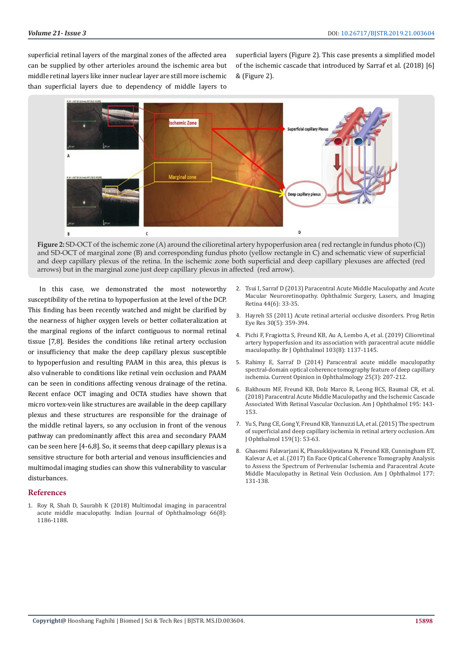superficial retinal layers of the marginal zones of the affected area can be supplied by other arterioles around the ischemic area but middle retinal layers like inner nuclear layer are still more ischemic than superficial layers due to dependency of middle layers to

superficial layers (Figure 2). This case presents a simplified model of the ischemic cascade that introduced by Sarraf et al. (2018) [6] & (Figure 2).



**Figure 2:** SD-OCT of the ischemic zone (A) around the cilioretinal artery hypoperfusion area ( red rectangle in fundus photo (C)) and SD-OCT of marginal zone (B) and corresponding fundus photo (yellow rectangle in C) and schematic view of superficial and deep capillary plexus of the retina. In the ischemic zone both superficial and deep capillary plexuses are affected (red arrows) but in the marginal zone just deep capillary plexus in affected (red arrow).

In this case, we demonstrated the most noteworthy susceptibility of the retina to hypoperfusion at the level of the DCP. This finding has been recently watched and might be clarified by the nearness of higher oxygen levels or better collateralization at the marginal regions of the infarct contiguous to normal retinal tissue [7,8]. Besides the conditions like retinal artery occlusion or insufficiency that make the deep capillary plexus susceptible to hypoperfusion and resulting PAAM in this area, this plexus is also vulnerable to conditions like retinal vein occlusion and PAAM can be seen in conditions affecting venous drainage of the retina. Recent enface OCT imaging and OCTA studies have shown that micro vortex-vein like structures are available in the deep capillary plexus and these structures are responsible for the drainage of the middle retinal layers, so any occlusion in front of the venous pathway can predominantly affect this area and secondary PAAM can be seen here [4-6,8]. So, it seems that deep capillary plexus is a sensitive structure for both arterial and venous insufficiencies and multimodal imaging studies can show this vulnerability to vascular disturbances.

#### **References**

1. [Roy R, Shah D, Saurabh K \(2018\) Multimodal imaging in paracentral](https://www.ncbi.nlm.nih.gov/pubmed/30038173)  [acute middle maculopathy. Indian Journal of Ophthalmology 66\(8\):](https://www.ncbi.nlm.nih.gov/pubmed/30038173)  [1186-1188.](https://www.ncbi.nlm.nih.gov/pubmed/30038173)

- 2. [Tsui I, Sarraf D \(2013\) Paracentral Acute Middle Maculopathy and Acute](https://www.ncbi.nlm.nih.gov/pubmed/24220881) [Macular Neuroretinopathy. Ophthalmic Surgery, Lasers, and Imaging](https://www.ncbi.nlm.nih.gov/pubmed/24220881) [Retina 44\(6\): 33-35.](https://www.ncbi.nlm.nih.gov/pubmed/24220881)
- 3. [Hayreh SS \(2011\) Acute retinal arterial occlusive disorders. Prog Retin](https://www.ncbi.nlm.nih.gov/pubmed/21620994) [Eye Res 30\(5\): 359-394.](https://www.ncbi.nlm.nih.gov/pubmed/21620994)
- 4. [Pichi F, Fragiotta S, Freund KB, Au A, Lembo A, et al. \(2019\) Cilioretinal](https://www.ncbi.nlm.nih.gov/pubmed/30257961) [artery hypoperfusion and its association with paracentral acute middle](https://www.ncbi.nlm.nih.gov/pubmed/30257961) [maculopathy. Br J Ophthalmol 103\(8\): 1137-1145.](https://www.ncbi.nlm.nih.gov/pubmed/30257961)
- 5. [Rahimy E, Sarraf D \(2014\) Paracentral acute middle maculopathy](https://www.ncbi.nlm.nih.gov/pubmed/24614148) [spectral-domain optical coherence tomography feature of deep capillary](https://www.ncbi.nlm.nih.gov/pubmed/24614148) [ischemia. Current Opinion in Ophthalmology 25\(3\): 207-212.](https://www.ncbi.nlm.nih.gov/pubmed/24614148)
- 6. [Bakhoum MF, Freund KB, Dolz Marco R, Leong BCS, Baumal CR, et al.](https://www.ncbi.nlm.nih.gov/pubmed/30081014) [\(2018\) Paracentral Acute Middle Maculopathy and the Ischemic Cascade](https://www.ncbi.nlm.nih.gov/pubmed/30081014) [Associated With Retinal Vascular Occlusion. Am J Ophthalmol 195: 143-](https://www.ncbi.nlm.nih.gov/pubmed/30081014) [153.](https://www.ncbi.nlm.nih.gov/pubmed/30081014)
- 7. [Yu S, Pang CE, Gong Y, Freund KB, Yannuzzi LA, et al. \(2015\) The spectrum](https://www.ncbi.nlm.nih.gov/pubmed/25244976) [of superficial and deep capillary ischemia in retinal artery occlusion. Am](https://www.ncbi.nlm.nih.gov/pubmed/25244976) [J Ophthalmol 159\(1\): 53-63.](https://www.ncbi.nlm.nih.gov/pubmed/25244976)
- 8. [Ghasemi Falavarjani K, Phasukkijwatana N, Freund KB, Cunningham ET,](https://www.ncbi.nlm.nih.gov/pubmed/28237415) [Kalevar A, et al. \(2017\) En Face Optical Coherence Tomography Analysis](https://www.ncbi.nlm.nih.gov/pubmed/28237415) [to Assess the Spectrum of Perivenular Ischemia and Paracentral Acute](https://www.ncbi.nlm.nih.gov/pubmed/28237415) [Middle Maculopathy in Retinal Vein Occlusion. Am J Ophthalmol 177:](https://www.ncbi.nlm.nih.gov/pubmed/28237415) [131-138.](https://www.ncbi.nlm.nih.gov/pubmed/28237415)